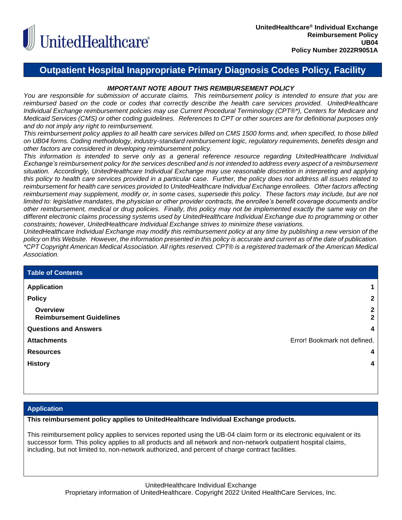

# **Outpatient Hospital Inappropriate Primary Diagnosis Codes Policy, Facility**

# *IMPORTANT NOTE ABOUT THIS REIMBURSEMENT POLICY*

*You are responsible for submission of accurate claims. This reimbursement policy is intended to ensure that you are reimbursed based on the code or codes that correctly describe the health care services provided. UnitedHealthcare Individual Exchange reimbursement policies may use Current Procedural Terminology (CPT®\*), Centers for Medicare and Medicaid Services (CMS) or other coding guidelines. References to CPT or other sources are for definitional purposes only and do not imply any right to reimbursement.*

*This reimbursement policy applies to all health care services billed on CMS 1500 forms and, when specified, to those billed on UB04 forms. Coding methodology, industry-standard reimbursement logic, regulatory requirements, benefits design and other factors are considered in developing reimbursement policy.*

*This information is intended to serve only as a general reference resource regarding UnitedHealthcare Individual Exchange's reimbursement policy for the services described and is not intended to address every aspect of a reimbursement situation. Accordingly, UnitedHealthcare Individual Exchange may use reasonable discretion in interpreting and applying this policy to health care services provided in a particular case. Further, the policy does not address all issues related to reimbursement for health care services provided to UnitedHealthcare Individual Exchange enrollees. Other factors affecting reimbursement may supplement, modify or, in some cases, supersede this policy. These factors may include, but are not limited to: legislative mandates, the physician or other provider contracts, the enrollee's benefit coverage documents and/or other reimbursement, medical or drug policies. Finally, this policy may not be implemented exactly the same way on the different electronic claims processing systems used by UnitedHealthcare Individual Exchange due to programming or other constraints; however, UnitedHealthcare Individual Exchange strives to minimize these variations.*

*UnitedHealthcare Individual Exchange may modify this reimbursement policy at any time by publishing a new version of the policy on this Website. However, the information presented in this policy is accurate and current as of the date of publication. \*CPT Copyright American Medical Association. All rights reserved. CPT® is a registered trademark of the American Medical Association.*

| <b>Table of Contents</b>                    |                              |
|---------------------------------------------|------------------------------|
| <b>Application</b>                          |                              |
| <b>Policy</b>                               | 2                            |
| Overview<br><b>Reimbursement Guidelines</b> | $\mathbf{2}$<br>$\mathbf{2}$ |
| <b>Questions and Answers</b>                | 4                            |
| <b>Attachments</b>                          | Error! Bookmark not defined. |
| <b>Resources</b>                            | 4                            |
| <b>History</b>                              | 4                            |
|                                             |                              |

# <span id="page-0-0"></span>**Application**

**This reimbursement policy applies to UnitedHealthcare Individual Exchange products.**

This reimbursement policy applies to services reported using the UB-04 claim form or its electronic equivalent or its successor form. This policy applies to all products and all network and non-network outpatient hospital claims, including, but not limited to, non-network authorized, and percent of charge contract facilities.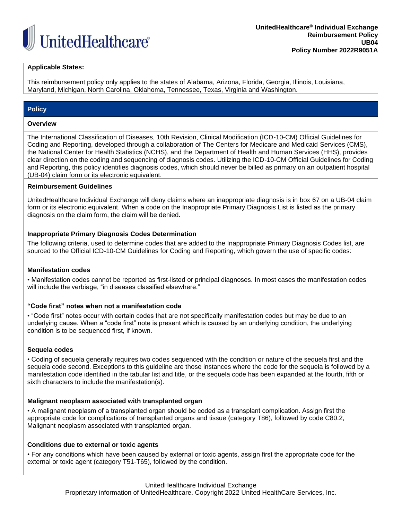

### **Applicable States:**

This reimbursement policy only applies to the states of Alabama, Arizona, Florida, Georgia, Illinois, Louisiana, Maryland, Michigan, North Carolina, Oklahoma, Tennessee, Texas, Virginia and Washington.

## <span id="page-1-0"></span>**Policy**

#### <span id="page-1-1"></span>**Overview**

The International Classification of Diseases, 10th Revision, Clinical Modification (ICD-10-CM) Official Guidelines for Coding and Reporting, developed through a collaboration of The Centers for Medicare and Medicaid Services (CMS), the National Center for Health Statistics (NCHS), and the Department of Health and Human Services (HHS), provides clear direction on the coding and sequencing of diagnosis codes. Utilizing the ICD-10-CM Official Guidelines for Coding and Reporting, this policy identifies diagnosis codes, which should never be billed as primary on an outpatient hospital (UB-04) claim form or its electronic equivalent.

#### <span id="page-1-2"></span>**Reimbursement Guidelines**

UnitedHealthcare Individual Exchange will deny claims where an inappropriate diagnosis is in box 67 on a UB-04 claim form or its electronic equivalent. When a code on the Inappropriate Primary Diagnosis List is listed as the primary diagnosis on the claim form, the claim will be denied.

#### **Inappropriate Primary Diagnosis Codes Determination**

The following criteria, used to determine codes that are added to the Inappropriate Primary Diagnosis Codes list, are sourced to the Official ICD-10-CM Guidelines for Coding and Reporting, which govern the use of specific codes:

### **Manifestation codes**

• Manifestation codes cannot be reported as first-listed or principal diagnoses. In most cases the manifestation codes will include the verbiage, "in diseases classified elsewhere."

### **"Code first" notes when not a manifestation code**

• "Code first" notes occur with certain codes that are not specifically manifestation codes but may be due to an underlying cause. When a "code first" note is present which is caused by an underlying condition, the underlying condition is to be sequenced first, if known.

#### **Sequela codes**

• Coding of sequela generally requires two codes sequenced with the condition or nature of the sequela first and the sequela code second. Exceptions to this guideline are those instances where the code for the sequela is followed by a manifestation code identified in the tabular list and title, or the sequela code has been expanded at the fourth, fifth or sixth characters to include the manifestation(s).

### **Malignant neoplasm associated with transplanted organ**

• A malignant neoplasm of a transplanted organ should be coded as a transplant complication. Assign first the appropriate code for complications of transplanted organs and tissue (category T86), followed by code C80.2, Malignant neoplasm associated with transplanted organ.

### **Conditions due to external or toxic agents**

• For any conditions which have been caused by external or toxic agents, assign first the appropriate code for the external or toxic agent (category T51-T65), followed by the condition.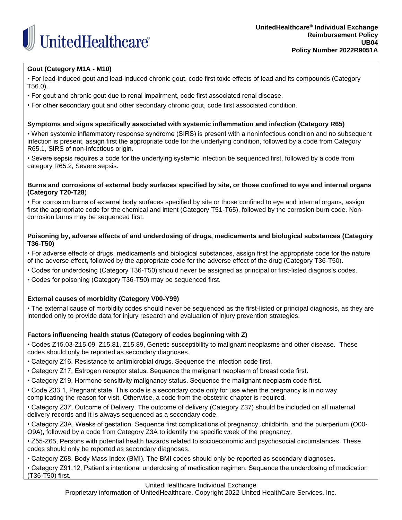

# **Gout (Category M1A - M10)**

• For lead-induced gout and lead-induced chronic gout, code first toxic effects of lead and its compounds (Category T56.0).

• For gout and chronic gout due to renal impairment, code first associated renal disease.

• For other secondary gout and other secondary chronic gout, code first associated condition.

## **Symptoms and signs specifically associated with systemic inflammation and infection (Category R65)**

• When systemic inflammatory response syndrome (SIRS) is present with a noninfectious condition and no subsequent infection is present, assign first the appropriate code for the underlying condition, followed by a code from Category R65.1, SIRS of non-infectious origin.

• Severe sepsis requires a code for the underlying systemic infection be sequenced first, followed by a code from category R65.2, Severe sepsis.

## **Burns and corrosions of external body surfaces specified by site, or those confined to eye and internal organs (Category T20-T28**)

• For corrosion burns of external body surfaces specified by site or those confined to eye and internal organs, assign first the appropriate code for the chemical and intent (Category T51-T65), followed by the corrosion burn code. Noncorrosion burns may be sequenced first.

## **Poisoning by, adverse effects of and underdosing of drugs, medicaments and biological substances (Category T36-T50)**

• For adverse effects of drugs, medicaments and biological substances, assign first the appropriate code for the nature of the adverse effect, followed by the appropriate code for the adverse effect of the drug (Category T36-T50).

- Codes for underdosing (Category T36-T50) should never be assigned as principal or first-listed diagnosis codes.
- Codes for poisoning (Category T36-T50) may be sequenced first.

# **External causes of morbidity (Category V00-Y99)**

• The external cause of morbidity codes should never be sequenced as the first-listed or principal diagnosis, as they are intended only to provide data for injury research and evaluation of injury prevention strategies.

# **Factors influencing health status (Category of codes beginning with Z)**

• Codes Z15.03-Z15.09, Z15.81, Z15.89, Genetic susceptibility to malignant neoplasms and other disease. These codes should only be reported as secondary diagnoses.

- Category Z16, Resistance to antimicrobial drugs. Sequence the infection code first.
- Category Z17, Estrogen receptor status. Sequence the malignant neoplasm of breast code first.
- Category Z19, Hormone sensitivity malignancy status. Sequence the malignant neoplasm code first.

• Code Z33.1, Pregnant state. This code is a secondary code only for use when the pregnancy is in no way complicating the reason for visit. Otherwise, a code from the obstetric chapter is required.

• Category Z37, Outcome of Delivery. The outcome of delivery (Category Z37) should be included on all maternal delivery records and it is always sequenced as a secondary code.

• Category Z3A, Weeks of gestation. Sequence first complications of pregnancy, childbirth, and the puerperium (O00- O9A), followed by a code from Category Z3A to identify the specific week of the pregnancy.

• Z55-Z65, Persons with potential health hazards related to socioeconomic and psychosocial circumstances. These codes should only be reported as secondary diagnoses.

• Category Z68, Body Mass Index (BMI). The BMI codes should only be reported as secondary diagnoses.

• Category Z91.12, Patient's intentional underdosing of medication regimen. Sequence the underdosing of medication (T36-T50) first.